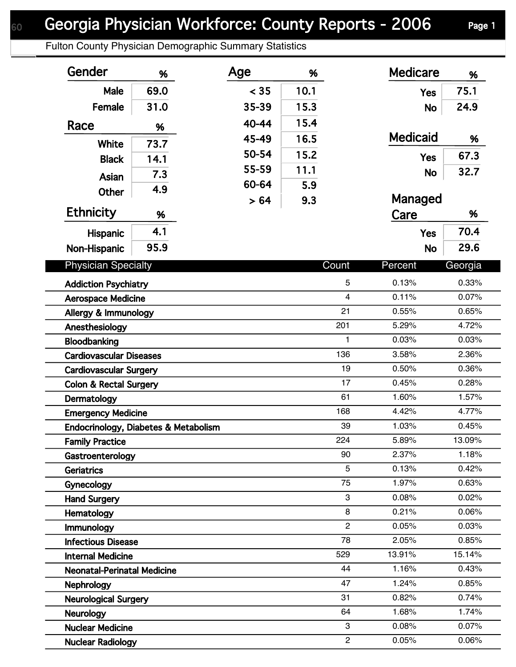Fulton County Physician Demographic Summary Statistics

| Gender                                                          | %    | Age   | %    |                      | <b>Medicare</b> | %              |
|-----------------------------------------------------------------|------|-------|------|----------------------|-----------------|----------------|
| Male                                                            | 69.0 | < 35  | 10.1 |                      | <b>Yes</b>      | 75.1           |
| Female                                                          | 31.0 | 35-39 | 15.3 |                      | <b>No</b>       | 24.9           |
| Race                                                            |      | 40-44 | 15.4 |                      |                 |                |
|                                                                 | %    | 45-49 | 16.5 |                      | <b>Medicaid</b> | %              |
| White                                                           | 73.7 | 50-54 | 15.2 |                      |                 | 67.3           |
| <b>Black</b>                                                    | 14.1 | 55-59 | 11.1 |                      | <b>Yes</b>      |                |
| Asian                                                           | 7.3  | 60-64 | 5.9  |                      | <b>No</b>       | 32.7           |
| Other                                                           | 4.9  | > 64  | 9.3  |                      | Managed         |                |
| <b>Ethnicity</b>                                                | %    |       |      |                      | Care            | %              |
| <b>Hispanic</b>                                                 | 4.1  |       |      |                      | <b>Yes</b>      | 70.4           |
| Non-Hispanic                                                    | 95.9 |       |      |                      | <b>No</b>       | 29.6           |
| <b>Physician Specialty</b>                                      |      |       |      | Count                | Percent         | Georgia        |
|                                                                 |      |       |      |                      |                 |                |
| <b>Addiction Psychiatry</b>                                     |      |       |      | 5                    | 0.13%           | 0.33%          |
| <b>Aerospace Medicine</b>                                       |      |       |      | $\overline{4}$<br>21 | 0.11%           | 0.07%          |
| Allergy & Immunology                                            |      |       |      | 201                  | 0.55%<br>5.29%  | 0.65%<br>4.72% |
| Anesthesiology                                                  |      |       |      | $\mathbf{1}$         | 0.03%           | 0.03%          |
| Bloodbanking                                                    |      |       |      | 136                  | 3.58%           | 2.36%          |
| <b>Cardiovascular Diseases</b><br><b>Cardiovascular Surgery</b> |      |       |      | 19                   | 0.50%           | 0.36%          |
| <b>Colon &amp; Rectal Surgery</b>                               |      |       |      | 17                   | 0.45%           | 0.28%          |
| Dermatology                                                     |      |       |      | 61                   | 1.60%           | 1.57%          |
| <b>Emergency Medicine</b>                                       |      |       |      | 168                  | 4.42%           | 4.77%          |
| Endocrinology, Diabetes & Metabolism                            |      |       |      | 39                   | 1.03%           | 0.45%          |
| <b>Family Practice</b>                                          |      |       |      | 224                  | 5.89%           | 13.09%         |
| Gastroenterology                                                |      |       |      | 90                   | 2.37%           | 1.18%          |
| Geriatrics                                                      |      |       |      | 5                    | 0.13%           | 0.42%          |
| Gynecology                                                      |      |       |      | 75                   | 1.97%           | 0.63%          |
| <b>Hand Surgery</b>                                             |      |       |      | 3                    | 0.08%           | 0.02%          |
| Hematology                                                      |      |       |      | 8                    | 0.21%           | 0.06%          |
| Immunology                                                      |      |       |      | $\overline{c}$       | 0.05%           | 0.03%          |
| <b>Infectious Disease</b>                                       |      |       |      | 78                   | 2.05%           | 0.85%          |
| <b>Internal Medicine</b>                                        |      |       |      | 529                  | 13.91%          | 15.14%         |
| <b>Neonatal-Perinatal Medicine</b>                              |      |       |      | 44                   | 1.16%           | 0.43%          |
| <b>Nephrology</b>                                               |      |       |      | 47                   | 1.24%           | 0.85%          |
| <b>Neurological Surgery</b>                                     |      |       |      | 31                   | 0.82%           | 0.74%          |
| <b>Neurology</b>                                                |      |       |      | 64                   | 1.68%           | 1.74%          |
| <b>Nuclear Medicine</b>                                         |      |       |      | 3                    | 0.08%           | 0.07%          |
| <b>Nuclear Radiology</b>                                        |      |       |      | $\overline{2}$       | 0.05%           | 0.06%          |